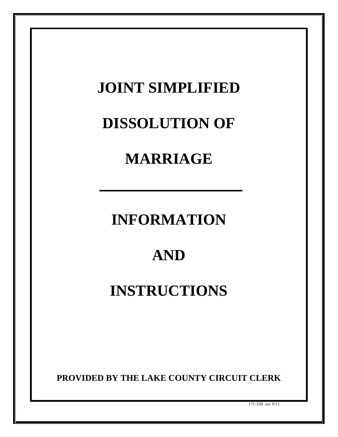## **JOINT SIMPLIFIED DISSOLUTION OF MARRIAGE INFORMATION AND INSTRUCTIONS PROVIDED BY THE LAKE COUNTY CIRCUIT CLERK** 171-330 rev 9/11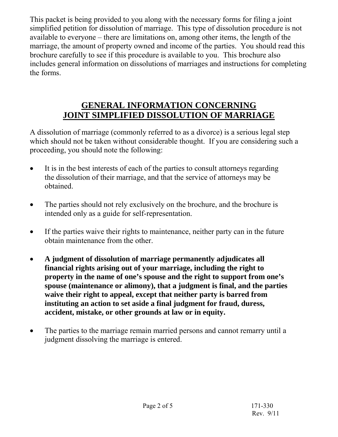This packet is being provided to you along with the necessary forms for filing a joint simplified petition for dissolution of marriage. This type of dissolution procedure is not available to everyone – there are limitations on, among other items, the length of the marriage, the amount of property owned and income of the parties. You should read this brochure carefully to see if this procedure is available to you. This brochure also includes general information on dissolutions of marriages and instructions for completing the forms.

## **GENERAL INFORMATION CONCERNING JOINT SIMPLIFIED DISSOLUTION OF MARRIAGE**

A dissolution of marriage (commonly referred to as a divorce) is a serious legal step which should not be taken without considerable thought. If you are considering such a proceeding, you should note the following:

- It is in the best interests of each of the parties to consult attorneys regarding the dissolution of their marriage, and that the service of attorneys may be obtained.
- The parties should not rely exclusively on the brochure, and the brochure is intended only as a guide for self-representation.
- If the parties waive their rights to maintenance, neither party can in the future obtain maintenance from the other.
- **A judgment of dissolution of marriage permanently adjudicates all financial rights arising out of your marriage, including the right to property in the name of one's spouse and the right to support from one's spouse (maintenance or alimony), that a judgment is final, and the parties waive their right to appeal, except that neither party is barred from instituting an action to set aside a final judgment for fraud, duress, accident, mistake, or other grounds at law or in equity.**
- The parties to the marriage remain married persons and cannot remarry until a judgment dissolving the marriage is entered.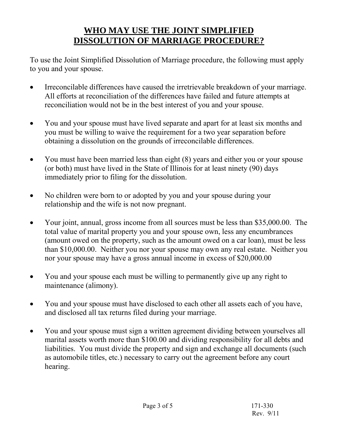## **WHO MAY USE THE JOINT SIMPLIFIED DISSOLUTION OF MARRIAGE PROCEDURE?**

To use the Joint Simplified Dissolution of Marriage procedure, the following must apply to you and your spouse.

- Irreconcilable differences have caused the irretrievable breakdown of your marriage. All efforts at reconciliation of the differences have failed and future attempts at reconciliation would not be in the best interest of you and your spouse.
- You and your spouse must have lived separate and apart for at least six months and you must be willing to waive the requirement for a two year separation before obtaining a dissolution on the grounds of irreconcilable differences.
- You must have been married less than eight (8) years and either you or your spouse (or both) must have lived in the State of Illinois for at least ninety (90) days immediately prior to filing for the dissolution.
- No children were born to or adopted by you and your spouse during your relationship and the wife is not now pregnant.
- Your joint, annual, gross income from all sources must be less than \$35,000.00. The total value of marital property you and your spouse own, less any encumbrances (amount owed on the property, such as the amount owed on a car loan), must be less than \$10,000.00. Neither you nor your spouse may own any real estate. Neither you nor your spouse may have a gross annual income in excess of \$20,000.00
- You and your spouse each must be willing to permanently give up any right to maintenance (alimony).
- You and your spouse must have disclosed to each other all assets each of you have, and disclosed all tax returns filed during your marriage.
- You and your spouse must sign a written agreement dividing between yourselves all marital assets worth more than \$100.00 and dividing responsibility for all debts and liabilities. You must divide the property and sign and exchange all documents (such as automobile titles, etc.) necessary to carry out the agreement before any court hearing.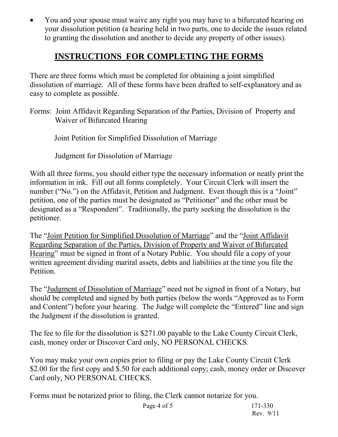• You and your spouse must waive any right you may have to a bifurcated hearing on your dissolution petition (a hearing held in two parts, one to decide the issues related to granting the dissolution and another to decide any property of other issues).

## **INSTRUCTIONS FOR COMPLETING THE FORMS**

There are three forms which must be completed for obtaining a joint simplified dissolution of marriage. All of these forms have been drafted to self-explanatory and as easy to complete as possible.

Forms: Joint Affidavit Regarding Separation of the Parties, Division of Property and Waiver of Bifurcated Hearing

Joint Petition for Simplified Dissolution of Marriage

Judgment for Dissolution of Marriage

With all three forms, you should either type the necessary information or neatly print the information in ink. Fill out all forms completely. Your Circuit Clerk will insert the number ("No.") on the Affidavit, Petition and Judgment. Even though this is a "Joint" petition, one of the parties must be designated as "Petitioner" and the other must be designated as a "Respondent". Traditionally, the party seeking the dissolution is the petitioner.

The "Joint Petition for Simplified Dissolution of Marriage" and the "Joint Affidavit Regarding Separation of the Parties, Division of Property and Waiver of Bifurcated Hearing" must be signed in front of a Notary Public. You should file a copy of your written agreement dividing marital assets, debts and liabilities at the time you file the Petition.

The "Judgment of Dissolution of Marriage" need not be signed in front of a Notary, but should be completed and signed by both parties (below the words "Approved as to Form and Content") before your hearing. The Judge will complete the "Entered" line and sign the Judgment if the dissolution is granted.

The fee to file for the dissolution is \$271.00 payable to the Lake County Circuit Clerk, cash, money order or Discover Card only, NO PERSONAL CHECKS.

You may make your own copies prior to filing or pay the Lake County Circuit Clerk \$2.00 for the first copy and \$.50 for each additional copy; cash, money order or Discover Card only, NO PERSONAL CHECKS.

Forms must be notarized prior to filing, the Clerk cannot notarize for you.